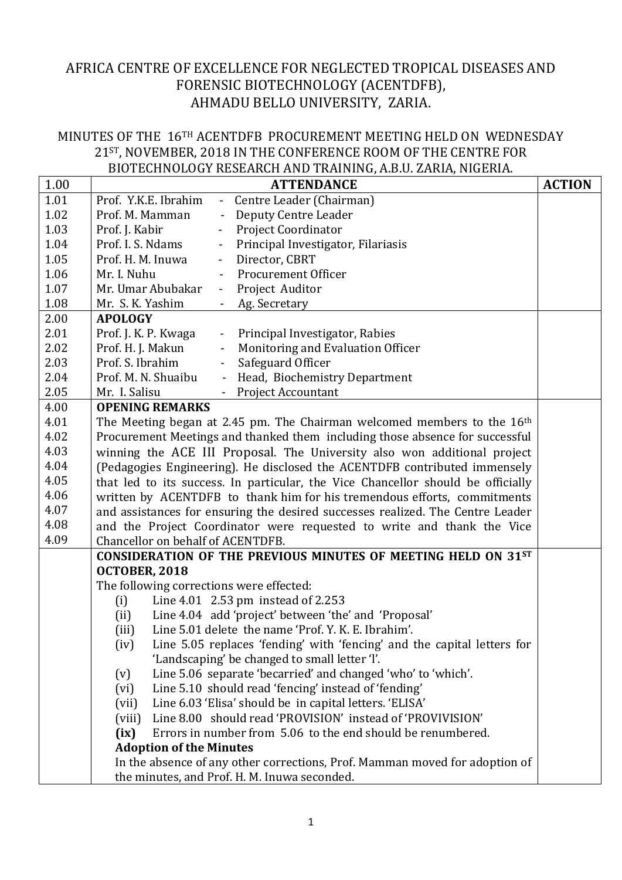## AFRICA CENTRE OF EXCELLENCE FOR NEGLECTED TROPICAL DISEASES AND FORENSIC BIOTECHNOLOGY (ACENTDFB), AHMADU BELLO UNIVERSITY, ZARIA.

## MINUTES OF THE 16TH ACENTDFB PROCUREMENT MEETING HELD ON WEDNESDAY 21ST, NOVEMBER, 2018 IN THE CONFERENCE ROOM OF THE CENTRE FOR BIOTECHNOLOGY RESEARCH AND TRAINING, A.B.U. ZARIA, NIGERIA.

| 1.00 | <b>ACTION</b><br><b>ATTENDANCE</b>                                                     |  |  |  |  |  |
|------|----------------------------------------------------------------------------------------|--|--|--|--|--|
| 1.01 | Prof. Y.K.E. Ibrahim<br>Centre Leader (Chairman)<br>$\frac{1}{2}$                      |  |  |  |  |  |
| 1.02 | Prof. M. Mamman<br>Deputy Centre Leader<br>$\blacksquare$                              |  |  |  |  |  |
| 1.03 | Prof. J. Kabir<br><b>Project Coordinator</b><br>$\overline{\phantom{0}}$               |  |  |  |  |  |
| 1.04 | Principal Investigator, Filariasis<br>Prof. I. S. Ndams<br>$\blacksquare$              |  |  |  |  |  |
| 1.05 | Prof. H. M. Inuwa<br>- Director, CBRT                                                  |  |  |  |  |  |
| 1.06 | Mr. I. Nuhu<br><b>Procurement Officer</b><br>$\blacksquare$                            |  |  |  |  |  |
| 1.07 | Mr. Umar Abubakar<br>Project Auditor<br>$\blacksquare$                                 |  |  |  |  |  |
| 1.08 | Mr. S. K. Yashim<br>Ag. Secretary                                                      |  |  |  |  |  |
| 2.00 | <b>APOLOGY</b>                                                                         |  |  |  |  |  |
| 2.01 | Prof. J. K. P. Kwaga<br>- Principal Investigator, Rabies                               |  |  |  |  |  |
| 2.02 | Prof. H. J. Makun<br>Monitoring and Evaluation Officer<br>$\qquad \qquad \blacksquare$ |  |  |  |  |  |
| 2.03 | Prof. S. Ibrahim<br>Safeguard Officer<br>$\blacksquare$                                |  |  |  |  |  |
| 2.04 | Prof. M. N. Shuaibu<br>- Head, Biochemistry Department                                 |  |  |  |  |  |
| 2.05 | Mr. I. Salisu<br>- Project Accountant                                                  |  |  |  |  |  |
| 4.00 | <b>OPENING REMARKS</b>                                                                 |  |  |  |  |  |
| 4.01 | The Meeting began at 2.45 pm. The Chairman welcomed members to the $16th$              |  |  |  |  |  |
| 4.02 | Procurement Meetings and thanked them including those absence for successful           |  |  |  |  |  |
| 4.03 | winning the ACE III Proposal. The University also won additional project               |  |  |  |  |  |
| 4.04 | (Pedagogies Engineering). He disclosed the ACENTDFB contributed immensely              |  |  |  |  |  |
| 4.05 | that led to its success. In particular, the Vice Chancellor should be officially       |  |  |  |  |  |
| 4.06 | written by ACENTDFB to thank him for his tremendous efforts, commitments               |  |  |  |  |  |
| 4.07 | and assistances for ensuring the desired successes realized. The Centre Leader         |  |  |  |  |  |
| 4.08 | and the Project Coordinator were requested to write and thank the Vice                 |  |  |  |  |  |
| 4.09 | Chancellor on behalf of ACENTDFB.                                                      |  |  |  |  |  |
|      | CONSIDERATION OF THE PREVIOUS MINUTES OF MEETING HELD ON 31ST                          |  |  |  |  |  |
|      | OCTOBER, 2018                                                                          |  |  |  |  |  |
|      | The following corrections were effected:                                               |  |  |  |  |  |
|      | Line 4.01 2.53 pm instead of 2.253<br>(i)                                              |  |  |  |  |  |
|      | Line 4.04 add 'project' between 'the' and 'Proposal'<br>(ii)                           |  |  |  |  |  |
|      | Line 5.01 delete the name 'Prof. Y. K. E. Ibrahim'.<br>(iii)                           |  |  |  |  |  |
|      | Line 5.05 replaces 'fending' with 'fencing' and the capital letters for<br>(iv)        |  |  |  |  |  |
|      | 'Landscaping' be changed to small letter 'l'.                                          |  |  |  |  |  |
|      | Line 5.06 separate 'becarried' and changed 'who' to 'which'.<br>(v)                    |  |  |  |  |  |
|      | Line 5.10 should read 'fencing' instead of 'fending'<br>(vi)                           |  |  |  |  |  |
|      | Line 6.03 'Elisa' should be in capital letters. 'ELISA'<br>(vii)                       |  |  |  |  |  |
|      | Line 8.00 should read 'PROVISION' instead of 'PROVIVISION'<br>(viii)                   |  |  |  |  |  |
|      | Errors in number from 5.06 to the end should be renumbered.<br>(ix)                    |  |  |  |  |  |
|      | <b>Adoption of the Minutes</b>                                                         |  |  |  |  |  |
|      | In the absence of any other corrections, Prof. Mamman moved for adoption of            |  |  |  |  |  |
|      | the minutes, and Prof. H. M. Inuwa seconded.                                           |  |  |  |  |  |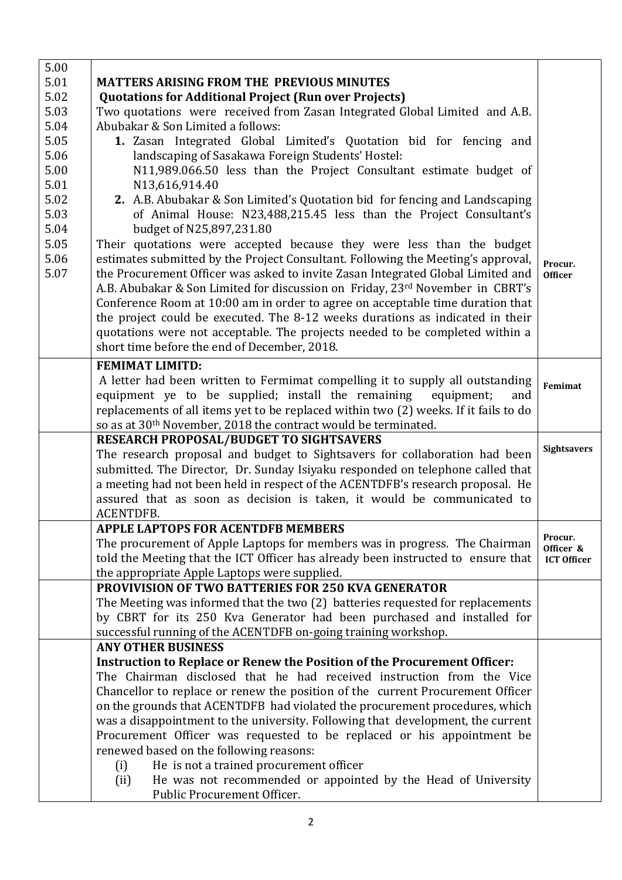| 5.01<br><b>MATTERS ARISING FROM THE PREVIOUS MINUTES</b><br>5.02<br><b>Quotations for Additional Project (Run over Projects)</b><br>5.03<br>Two quotations were received from Zasan Integrated Global Limited and A.B. |                    |
|------------------------------------------------------------------------------------------------------------------------------------------------------------------------------------------------------------------------|--------------------|
|                                                                                                                                                                                                                        |                    |
|                                                                                                                                                                                                                        |                    |
| 5.04<br>Abubakar & Son Limited a follows:                                                                                                                                                                              |                    |
| 5.05<br>1. Zasan Integrated Global Limited's Quotation bid for fencing and                                                                                                                                             |                    |
| 5.06<br>landscaping of Sasakawa Foreign Students' Hostel:                                                                                                                                                              |                    |
| N11,989.066.50 less than the Project Consultant estimate budget of<br>5.00                                                                                                                                             |                    |
| 5.01<br>N13,616,914.40                                                                                                                                                                                                 |                    |
| 5.02<br>2. A.B. Abubakar & Son Limited's Quotation bid for fencing and Landscaping                                                                                                                                     |                    |
| 5.03<br>of Animal House: N23,488,215.45 less than the Project Consultant's                                                                                                                                             |                    |
| 5.04<br>budget of N25,897,231.80                                                                                                                                                                                       |                    |
| 5.05<br>Their quotations were accepted because they were less than the budget                                                                                                                                          |                    |
| 5.06<br>estimates submitted by the Project Consultant. Following the Meeting's approval,<br>Procur.                                                                                                                    |                    |
| 5.07<br>the Procurement Officer was asked to invite Zasan Integrated Global Limited and<br><b>Officer</b>                                                                                                              |                    |
| A.B. Abubakar & Son Limited for discussion on Friday, 23rd November in CBRT's                                                                                                                                          |                    |
| Conference Room at 10:00 am in order to agree on acceptable time duration that                                                                                                                                         |                    |
| the project could be executed. The 8-12 weeks durations as indicated in their                                                                                                                                          |                    |
| quotations were not acceptable. The projects needed to be completed within a                                                                                                                                           |                    |
| short time before the end of December, 2018.                                                                                                                                                                           |                    |
| <b>FEMIMAT LIMITD:</b>                                                                                                                                                                                                 |                    |
| A letter had been written to Fermimat compelling it to supply all outstanding                                                                                                                                          | Femimat            |
| equipment ye to be supplied; install the remaining<br>equipment;<br>and                                                                                                                                                |                    |
| replacements of all items yet to be replaced within two (2) weeks. If it fails to do                                                                                                                                   |                    |
| so as at 30 <sup>th</sup> November, 2018 the contract would be terminated.                                                                                                                                             |                    |
| <b>RESEARCH PROPOSAL/BUDGET TO SIGHTSAVERS</b>                                                                                                                                                                         |                    |
| The research proposal and budget to Sightsavers for collaboration had been                                                                                                                                             | <b>Sightsavers</b> |
| submitted. The Director, Dr. Sunday Isiyaku responded on telephone called that                                                                                                                                         |                    |
| a meeting had not been held in respect of the ACENTDFB's research proposal. He                                                                                                                                         |                    |
| assured that as soon as decision is taken, it would be communicated to                                                                                                                                                 |                    |
| ACENTDFB.                                                                                                                                                                                                              |                    |
| <b>APPLE LAPTOPS FOR ACENTDFB MEMBERS</b><br>Procur.                                                                                                                                                                   |                    |
| The procurement of Apple Laptops for members was in progress. The Chairman                                                                                                                                             | Officer &          |
| told the Meeting that the ICT Officer has already been instructed to ensure that                                                                                                                                       | <b>ICT Officer</b> |
| the appropriate Apple Laptops were supplied.                                                                                                                                                                           |                    |
| <b>PROVIVISION OF TWO BATTERIES FOR 250 KVA GENERATOR</b>                                                                                                                                                              |                    |
| The Meeting was informed that the two (2) batteries requested for replacements                                                                                                                                         |                    |
| by CBRT for its 250 Kva Generator had been purchased and installed for                                                                                                                                                 |                    |
| successful running of the ACENTDFB on-going training workshop.<br><b>ANY OTHER BUSINESS</b>                                                                                                                            |                    |
| Instruction to Replace or Renew the Position of the Procurement Officer:                                                                                                                                               |                    |
| The Chairman disclosed that he had received instruction from the Vice                                                                                                                                                  |                    |
| Chancellor to replace or renew the position of the current Procurement Officer                                                                                                                                         |                    |
| on the grounds that ACENTDFB had violated the procurement procedures, which                                                                                                                                            |                    |
| was a disappointment to the university. Following that development, the current                                                                                                                                        |                    |
| Procurement Officer was requested to be replaced or his appointment be                                                                                                                                                 |                    |
| renewed based on the following reasons:                                                                                                                                                                                |                    |
| He is not a trained procurement officer<br>(i)                                                                                                                                                                         |                    |
| He was not recommended or appointed by the Head of University<br>(ii)                                                                                                                                                  |                    |
| Public Procurement Officer.                                                                                                                                                                                            |                    |